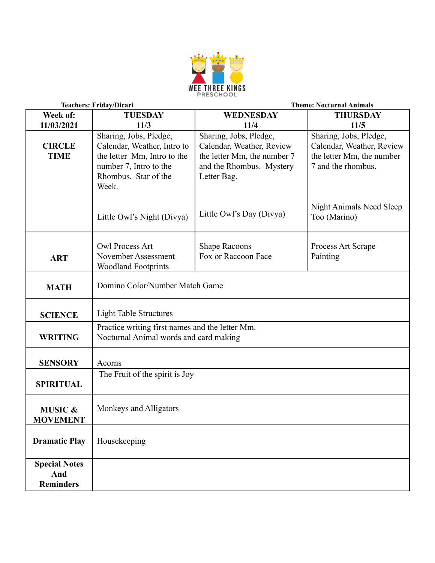

| Teachers: Friday/Dicari                         |                                                                                                                                                 | <b>Theme: Nocturnal Animals</b>                                                                                               |                                                                                                        |  |
|-------------------------------------------------|-------------------------------------------------------------------------------------------------------------------------------------------------|-------------------------------------------------------------------------------------------------------------------------------|--------------------------------------------------------------------------------------------------------|--|
| Week of:                                        | <b>TUESDAY</b>                                                                                                                                  | WEDNESDAY                                                                                                                     | <b>THURSDAY</b>                                                                                        |  |
| 11/03/2021                                      | 11/3                                                                                                                                            | 11/4                                                                                                                          | 11/5                                                                                                   |  |
| <b>CIRCLE</b><br><b>TIME</b>                    | Sharing, Jobs, Pledge,<br>Calendar, Weather, Intro to<br>the letter Mm, Intro to the<br>number 7, Intro to the<br>Rhombus. Star of the<br>Week. | Sharing, Jobs, Pledge,<br>Calendar, Weather, Review<br>the letter Mm, the number 7<br>and the Rhombus. Mystery<br>Letter Bag. | Sharing, Jobs, Pledge,<br>Calendar, Weather, Review<br>the letter Mm, the number<br>7 and the rhombus. |  |
|                                                 | Little Owl's Night (Divya)                                                                                                                      | Little Owl's Day (Divya)                                                                                                      | Night Animals Need Sleep<br>Too (Marino)                                                               |  |
| <b>ART</b>                                      | Owl Process Art<br>November Assessment<br><b>Woodland Footprints</b>                                                                            | <b>Shape Racoons</b><br>Fox or Raccoon Face                                                                                   | Process Art Scrape<br>Painting                                                                         |  |
| <b>MATH</b>                                     | Domino Color/Number Match Game                                                                                                                  |                                                                                                                               |                                                                                                        |  |
| <b>SCIENCE</b>                                  | <b>Light Table Structures</b>                                                                                                                   |                                                                                                                               |                                                                                                        |  |
| <b>WRITING</b>                                  | Practice writing first names and the letter Mm.<br>Nocturnal Animal words and card making                                                       |                                                                                                                               |                                                                                                        |  |
| <b>SENSORY</b>                                  | Acorns                                                                                                                                          |                                                                                                                               |                                                                                                        |  |
| <b>SPIRITUAL</b>                                | The Fruit of the spirit is Joy                                                                                                                  |                                                                                                                               |                                                                                                        |  |
| <b>MUSIC &amp;</b><br><b>MOVEMENT</b>           | Monkeys and Alligators                                                                                                                          |                                                                                                                               |                                                                                                        |  |
| <b>Dramatic Play</b>                            | Housekeeping                                                                                                                                    |                                                                                                                               |                                                                                                        |  |
| <b>Special Notes</b><br>And<br><b>Reminders</b> |                                                                                                                                                 |                                                                                                                               |                                                                                                        |  |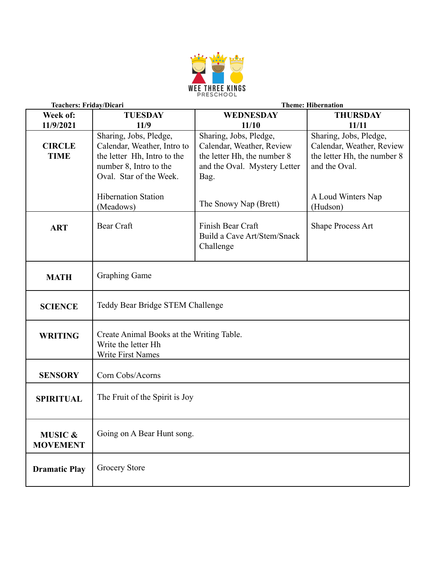

| Teachers: Friday/Dicari               |                                                                                                                                           | <b>Theme: Hibernation</b>                                                                                                  |                                                                                                     |  |
|---------------------------------------|-------------------------------------------------------------------------------------------------------------------------------------------|----------------------------------------------------------------------------------------------------------------------------|-----------------------------------------------------------------------------------------------------|--|
| Week of:                              | <b>TUESDAY</b>                                                                                                                            | <b>WEDNESDAY</b>                                                                                                           | <b>THURSDAY</b>                                                                                     |  |
| 11/9/2021                             | 11/9                                                                                                                                      | 11/10                                                                                                                      | 11/11                                                                                               |  |
| <b>CIRCLE</b><br><b>TIME</b>          | Sharing, Jobs, Pledge,<br>Calendar, Weather, Intro to<br>the letter Hh, Intro to the<br>number 8, Intro to the<br>Oval. Star of the Week. | Sharing, Jobs, Pledge,<br>Calendar, Weather, Review<br>the letter Hh, the number 8<br>and the Oval. Mystery Letter<br>Bag. | Sharing, Jobs, Pledge,<br>Calendar, Weather, Review<br>the letter Hh, the number 8<br>and the Oval. |  |
|                                       | <b>Hibernation Station</b><br>(Meadows)                                                                                                   | The Snowy Nap (Brett)                                                                                                      | A Loud Winters Nap<br>(Hudson)                                                                      |  |
| <b>ART</b>                            | Bear Craft                                                                                                                                | Finish Bear Craft<br>Build a Cave Art/Stem/Snack<br>Challenge                                                              | Shape Process Art                                                                                   |  |
| <b>MATH</b>                           | <b>Graphing Game</b>                                                                                                                      |                                                                                                                            |                                                                                                     |  |
| <b>SCIENCE</b>                        | Teddy Bear Bridge STEM Challenge                                                                                                          |                                                                                                                            |                                                                                                     |  |
| <b>WRITING</b>                        | Create Animal Books at the Writing Table.<br>Write the letter Hh<br>Write First Names                                                     |                                                                                                                            |                                                                                                     |  |
| <b>SENSORY</b>                        | Corn Cobs/Acorns                                                                                                                          |                                                                                                                            |                                                                                                     |  |
| <b>SPIRITUAL</b>                      | The Fruit of the Spirit is Joy                                                                                                            |                                                                                                                            |                                                                                                     |  |
| <b>MUSIC &amp;</b><br><b>MOVEMENT</b> | Going on A Bear Hunt song.                                                                                                                |                                                                                                                            |                                                                                                     |  |
| <b>Dramatic Play</b>                  | Grocery Store                                                                                                                             |                                                                                                                            |                                                                                                     |  |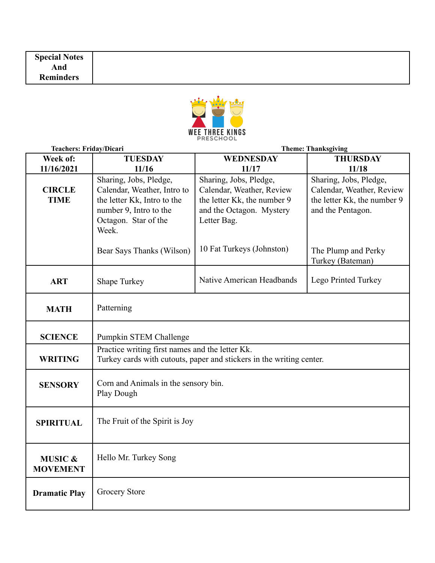

| Teachers: Friday/Dicari               |                                                                                                                                                 | <b>Theme: Thanksgiving</b>                                                                                                    |                                                                                                         |  |
|---------------------------------------|-------------------------------------------------------------------------------------------------------------------------------------------------|-------------------------------------------------------------------------------------------------------------------------------|---------------------------------------------------------------------------------------------------------|--|
| Week of:                              | <b>TUESDAY</b>                                                                                                                                  | WEDNESDAY                                                                                                                     | <b>THURSDAY</b>                                                                                         |  |
| 11/16/2021                            | 11/16                                                                                                                                           | 11/17                                                                                                                         | 11/18                                                                                                   |  |
| <b>CIRCLE</b><br><b>TIME</b>          | Sharing, Jobs, Pledge,<br>Calendar, Weather, Intro to<br>the letter Kk, Intro to the<br>number 9, Intro to the<br>Octagon. Star of the<br>Week. | Sharing, Jobs, Pledge,<br>Calendar, Weather, Review<br>the letter Kk, the number 9<br>and the Octagon. Mystery<br>Letter Bag. | Sharing, Jobs, Pledge,<br>Calendar, Weather, Review<br>the letter Kk, the number 9<br>and the Pentagon. |  |
|                                       | Bear Says Thanks (Wilson)                                                                                                                       | 10 Fat Turkeys (Johnston)                                                                                                     | The Plump and Perky<br>Turkey (Bateman)                                                                 |  |
| <b>ART</b>                            | <b>Shape Turkey</b>                                                                                                                             | Native American Headbands                                                                                                     | Lego Printed Turkey                                                                                     |  |
| <b>MATH</b>                           | Patterning                                                                                                                                      |                                                                                                                               |                                                                                                         |  |
| <b>SCIENCE</b>                        | Pumpkin STEM Challenge                                                                                                                          |                                                                                                                               |                                                                                                         |  |
| <b>WRITING</b>                        | Practice writing first names and the letter Kk.<br>Turkey cards with cutouts, paper and stickers in the writing center.                         |                                                                                                                               |                                                                                                         |  |
| <b>SENSORY</b>                        | Corn and Animals in the sensory bin.<br>Play Dough                                                                                              |                                                                                                                               |                                                                                                         |  |
| <b>SPIRITUAL</b>                      | The Fruit of the Spirit is Joy                                                                                                                  |                                                                                                                               |                                                                                                         |  |
| <b>MUSIC &amp;</b><br><b>MOVEMENT</b> | Hello Mr. Turkey Song                                                                                                                           |                                                                                                                               |                                                                                                         |  |
| <b>Dramatic Play</b>                  | <b>Grocery Store</b>                                                                                                                            |                                                                                                                               |                                                                                                         |  |